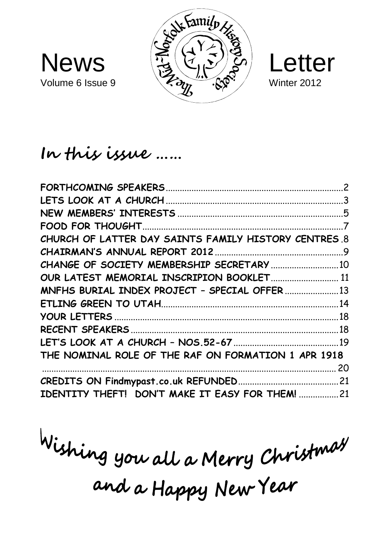





# **In this issue ……**

| CHURCH OF LATTER DAY SAINTS FAMILY HISTORY CENTRES 8 |  |
|------------------------------------------------------|--|
|                                                      |  |
| CHANGE OF SOCIETY MEMBERSHIP SECRETARY  10           |  |
| OUR LATEST MEMORIAL INSCRIPION BOOKLET 11            |  |
| MNFHS BURIAL INDEX PROJECT - SPECIAL OFFER  13       |  |
|                                                      |  |
|                                                      |  |
|                                                      |  |
|                                                      |  |
| THE NOMINAL ROLE OF THE RAF ON FORMATION 1 APR 1918  |  |
|                                                      |  |
|                                                      |  |
| IDENTITY THEFT! DON'T MAKE IT EASY FOR THEM!  21     |  |

Wishing you all a Merry Christmas and a Happy New Year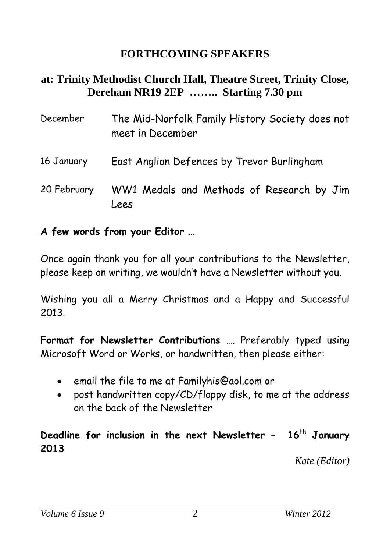## **FORTHCOMING SPEAKERS**

#### **at: Trinity Methodist Church Hall, Theatre Street, Trinity Close, Dereham NR19 2EP …….. Starting 7.30 pm**

| December    | The Mid-Norfolk Family History Society does not<br>meet in December |
|-------------|---------------------------------------------------------------------|
| 16 January  | East Anglian Defences by Trevor Burlingham                          |
| 20 February | WW1 Medals and Methods of Research by Jim<br>Lees                   |

**A few words from your Editor …**

Once again thank you for all your contributions to the Newsletter, please keep on writing, we wouldn't have a Newsletter without you.

Wishing you all a Merry Christmas and a Happy and Successful 2013.

**Format for Newsletter Contributions** …. Preferably typed using Microsoft Word or Works, or handwritten, then please either:

- email the file to me at [Familyhis@aol.com](mailto:Familyhis@aol.com) or
- post handwritten copy/CD/floppy disk, to me at the address on the back of the Newsletter

#### **Deadline for inclusion in the next Newsletter – 16 th January 2013**

 *Kate (Editor)*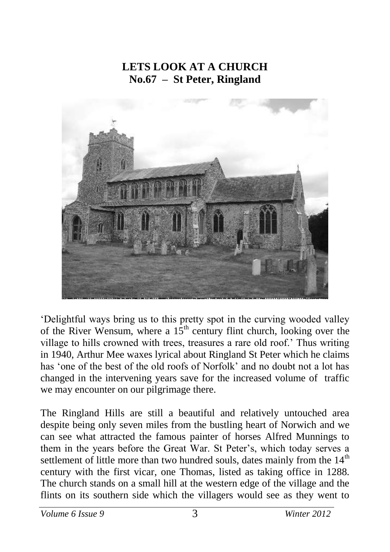## **LETS LOOK AT A CHURCH No.67 – St Peter, Ringland**



'Delightful ways bring us to this pretty spot in the curving wooded valley of the River Wensum, where a  $15<sup>th</sup>$  century flint church, looking over the village to hills crowned with trees, treasures a rare old roof.' Thus writing in 1940, Arthur Mee waxes lyrical about Ringland St Peter which he claims has 'one of the best of the old roofs of Norfolk' and no doubt not a lot has changed in the intervening years save for the increased volume of traffic we may encounter on our pilgrimage there.

The Ringland Hills are still a beautiful and relatively untouched area despite being only seven miles from the bustling heart of Norwich and we can see what attracted the famous painter of horses Alfred Munnings to them in the years before the Great War. St Peter's, which today serves a settlement of little more than two hundred souls, dates mainly from the  $14<sup>th</sup>$ century with the first vicar, one Thomas, listed as taking office in 1288. The church stands on a small hill at the western edge of the village and the flints on its southern side which the villagers would see as they went to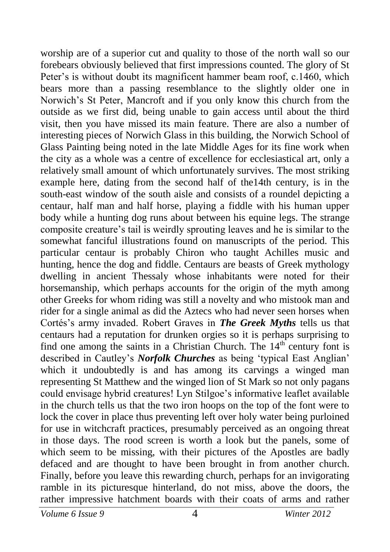worship are of a superior cut and quality to those of the north wall so our forebears obviously believed that first impressions counted. The glory of St Peter's is without doubt its magnificent hammer beam roof, c.1460, which bears more than a passing resemblance to the slightly older one in Norwich's St Peter, Mancroft and if you only know this church from the outside as we first did, being unable to gain access until about the third visit, then you have missed its main feature. There are also a number of interesting pieces of Norwich Glass in this building, the Norwich School of Glass Painting being noted in the late Middle Ages for its fine work when the city as a whole was a centre of excellence for ecclesiastical art, only a relatively small amount of which unfortunately survives. The most striking example here, dating from the second half of the14th century, is in the south-east window of the south aisle and consists of a roundel depicting a centaur, half man and half horse, playing a fiddle with his human upper body while a hunting dog runs about between his equine legs. The strange composite creature's tail is weirdly sprouting leaves and he is similar to the somewhat fanciful illustrations found on manuscripts of the period. This particular centaur is probably Chiron who taught Achilles music and hunting, hence the dog and fiddle. Centaurs are beasts of Greek mythology dwelling in ancient Thessaly whose inhabitants were noted for their horsemanship, which perhaps accounts for the origin of the myth among other Greeks for whom riding was still a novelty and who mistook man and rider for a single animal as did the Aztecs who had never seen horses when Cortés's army invaded. Robert Graves in *The Greek Myths* tells us that centaurs had a reputation for drunken orgies so it is perhaps surprising to find one among the saints in a Christian Church. The  $14<sup>th</sup>$  century font is described in Cautley's *Norfolk Churches* as being 'typical East Anglian' which it undoubtedly is and has among its carvings a winged man representing St Matthew and the winged lion of St Mark so not only pagans could envisage hybrid creatures! Lyn Stilgoe's informative leaflet available in the church tells us that the two iron hoops on the top of the font were to lock the cover in place thus preventing left over holy water being purloined for use in witchcraft practices, presumably perceived as an ongoing threat in those days. The rood screen is worth a look but the panels, some of which seem to be missing, with their pictures of the Apostles are badly defaced and are thought to have been brought in from another church. Finally, before you leave this rewarding church, perhaps for an invigorating ramble in its picturesque hinterland, do not miss, above the doors, the rather impressive hatchment boards with their coats of arms and rather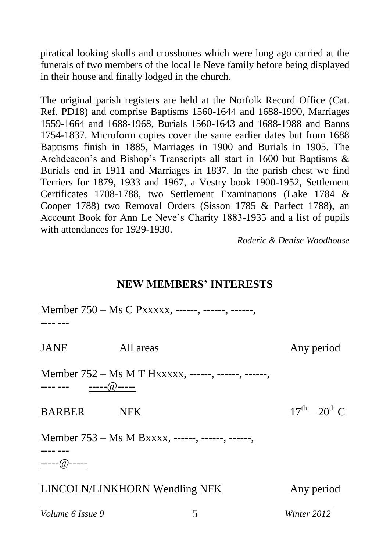piratical looking skulls and crossbones which were long ago carried at the funerals of two members of the local le Neve family before being displayed in their house and finally lodged in the church.

The original parish registers are held at the Norfolk Record Office (Cat. Ref. PD18) and comprise Baptisms 1560-1644 and 1688-1990, Marriages 1559-1664 and 1688-1968, Burials 1560-1643 and 1688-1988 and Banns 1754-1837. Microform copies cover the same earlier dates but from 1688 Baptisms finish in 1885, Marriages in 1900 and Burials in 1905. The Archdeacon's and Bishop's Transcripts all start in 1600 but Baptisms & Burials end in 1911 and Marriages in 1837. In the parish chest we find Terriers for 1879, 1933 and 1967, a Vestry book 1900-1952, Settlement Certificates 1708-1788, two Settlement Examinations (Lake 1784 & Cooper 1788) two Removal Orders (Sisson 1785 & Parfect 1788), an Account Book for Ann Le Neve's Charity 1883-1935 and a list of pupils with attendances for 1929-1930.

*Roderic & Denise Woodhouse*

#### **NEW MEMBERS' INTERESTS**

|                 | Member 750 – Ms C Pxxxxx, ------, ------, ------,   |                       |
|-----------------|-----------------------------------------------------|-----------------------|
| JANE            | All areas                                           | Any period            |
|                 | Member 752 – Ms M T Hxxxxx, ------, ------, ------, |                       |
| BARBER NFK      |                                                     | $17^{th} - 20^{th}$ C |
| ----- $@$ ----- | Member 753 – Ms M Bxxxx, ------, ------, ------,    |                       |
|                 | LINCOLN/LINKHORN Wendling NFK                       | Any period            |
|                 |                                                     |                       |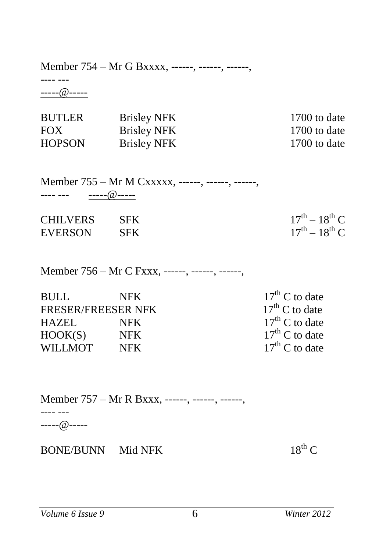Member 754 – Mr G Bxxxx, ------, ------, ------,

---- --- -----@-----

| <b>BUTLER</b> | <b>Brisley NFK</b> | 1700 to date |
|---------------|--------------------|--------------|
| <b>FOX</b>    | <b>Brisley NFK</b> | 1700 to date |
| <b>HOPSON</b> | <b>Brisley NFK</b> | 1700 to date |

Member 755 – Mr M Cxxxxx, ------, ------, ------, ---- --- -----@-----

| <b>CHILVERS</b> | SFK |  |
|-----------------|-----|--|

EVERSON SFK

 $17^{th} - 18^{th}$  C  $17^{th} - 18^{th}$  C

Member 756 – Mr C Fxxx, ------, ------, ------,

| <b>BULL</b>               | <b>NFK</b> | $17th$ C to date |
|---------------------------|------------|------------------|
| <b>FRESER/FREESER NFK</b> |            | $17th$ C to date |
| HAZEI.                    | NFK.       | $17th$ C to date |
| HOOK(S)                   | NFK .      | $17th$ C to date |
| WILLMOT                   | <b>NFK</b> | $17th$ C to date |

Member 757 – Mr R Bxxx, ------, ------, ------, ---- --- -----@-----

 $BONE/BUNN$  Mid NFK  $18<sup>th</sup>$  C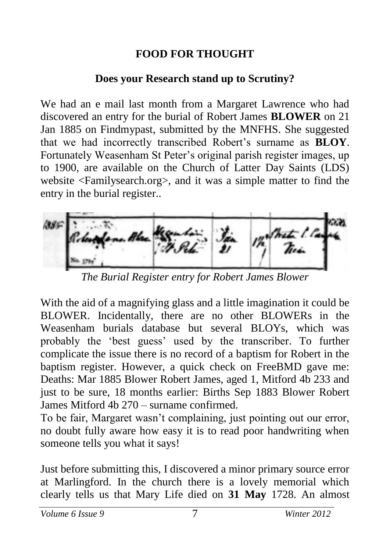## **FOOD FOR THOUGHT**

## **Does your Research stand up to Scrutiny?**

We had an e mail last month from a Margaret Lawrence who had discovered an entry for the burial of Robert James **BLOWER** on 21 Jan 1885 on Findmypast, submitted by the MNFHS. She suggested that we had incorrectly transcribed Robert's surname as **BLOY**. Fortunately Weasenham St Peter's original parish register images, up to 1900, are available on the Church of Latter Day Saints (LDS) website <Familysearch.org>, and it was a simple matter to find the entry in the burial register..



*The Burial Register entry for Robert James Blower*

With the aid of a magnifying glass and a little imagination it could be BLOWER. Incidentally, there are no other BLOWERs in the Weasenham burials database but several BLOYs, which was probably the 'best guess' used by the transcriber. To further complicate the issue there is no record of a baptism for Robert in the baptism register. However, a quick check on FreeBMD gave me: Deaths: Mar 1885 Blower Robert James, aged 1, Mitford 4b 233 and just to be sure, 18 months earlier: Births Sep 1883 Blower Robert James Mitford 4b 270 – surname confirmed.

To be fair, Margaret wasn't complaining, just pointing out our error, no doubt fully aware how easy it is to read poor handwriting when someone tells you what it says!

Just before submitting this, I discovered a minor primary source error at Marlingford. In the church there is a lovely memorial which clearly tells us that Mary Life died on **31 May** 1728. An almost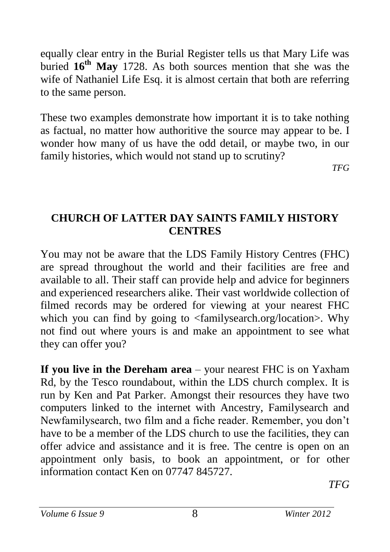equally clear entry in the Burial Register tells us that Mary Life was buried **16th May** 1728. As both sources mention that she was the wife of Nathaniel Life Esq. it is almost certain that both are referring to the same person.

These two examples demonstrate how important it is to take nothing as factual, no matter how authoritive the source may appear to be. I wonder how many of us have the odd detail, or maybe two, in our family histories, which would not stand up to scrutiny?

*TFG*

### **CHURCH OF LATTER DAY SAINTS FAMILY HISTORY CENTRES**

You may not be aware that the LDS Family History Centres (FHC) are spread throughout the world and their facilities are free and available to all. Their staff can provide help and advice for beginners and experienced researchers alike. Their vast worldwide collection of filmed records may be ordered for viewing at your nearest FHC which you can find by going to <familysearch.org/location>. Why not find out where yours is and make an appointment to see what they can offer you?

**If you live in the Dereham area** – your nearest FHC is on Yaxham Rd, by the Tesco roundabout, within the LDS church complex. It is run by Ken and Pat Parker. Amongst their resources they have two computers linked to the internet with Ancestry, Familysearch and Newfamilysearch, two film and a fiche reader. Remember, you don't have to be a member of the LDS church to use the facilities, they can offer advice and assistance and it is free. The centre is open on an appointment only basis, to book an appointment, or for other information contact Ken on 07747 845727.

*TFG*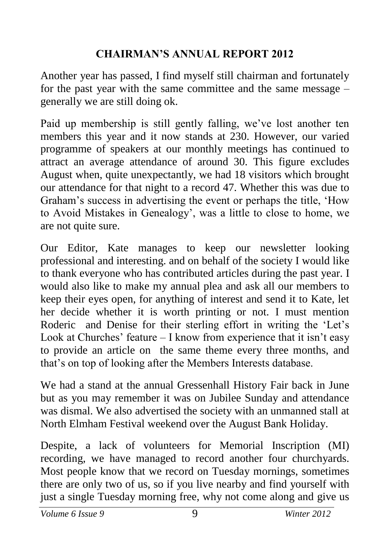# **CHAIRMAN'S ANNUAL REPORT 2012**

Another year has passed, I find myself still chairman and fortunately for the past year with the same committee and the same message – generally we are still doing ok.

Paid up membership is still gently falling, we've lost another ten members this year and it now stands at 230. However, our varied programme of speakers at our monthly meetings has continued to attract an average attendance of around 30. This figure excludes August when, quite unexpectantly, we had 18 visitors which brought our attendance for that night to a record 47. Whether this was due to Graham's success in advertising the event or perhaps the title, 'How to Avoid Mistakes in Genealogy', was a little to close to home, we are not quite sure.

Our Editor, Kate manages to keep our newsletter looking professional and interesting. and on behalf of the society I would like to thank everyone who has contributed articles during the past year. I would also like to make my annual plea and ask all our members to keep their eyes open, for anything of interest and send it to Kate, let her decide whether it is worth printing or not. I must mention Roderic and Denise for their sterling effort in writing the 'Let's Look at Churches' feature – I know from experience that it isn't easy to provide an article on the same theme every three months, and that's on top of looking after the Members Interests database.

We had a stand at the annual Gressenhall History Fair back in June but as you may remember it was on Jubilee Sunday and attendance was dismal. We also advertised the society with an unmanned stall at North Elmham Festival weekend over the August Bank Holiday.

Despite, a lack of volunteers for Memorial Inscription (MI) recording, we have managed to record another four churchyards. Most people know that we record on Tuesday mornings, sometimes there are only two of us, so if you live nearby and find yourself with just a single Tuesday morning free, why not come along and give us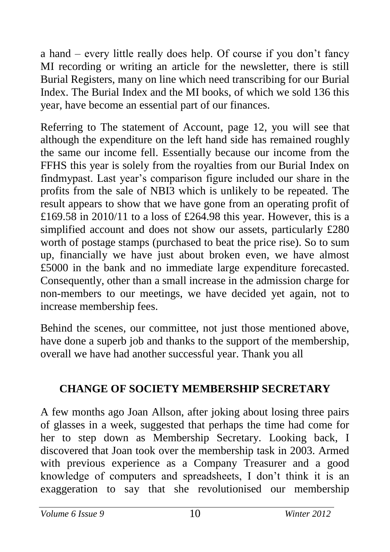a hand – every little really does help. Of course if you don't fancy MI recording or writing an article for the newsletter, there is still Burial Registers, many on line which need transcribing for our Burial Index. The Burial Index and the MI books, of which we sold 136 this year, have become an essential part of our finances.

Referring to The statement of Account, page 12, you will see that although the expenditure on the left hand side has remained roughly the same our income fell. Essentially because our income from the FFHS this year is solely from the royalties from our Burial Index on findmypast. Last year's comparison figure included our share in the profits from the sale of NBI3 which is unlikely to be repeated. The result appears to show that we have gone from an operating profit of £169.58 in 2010/11 to a loss of £264.98 this year. However, this is a simplified account and does not show our assets, particularly £280 worth of postage stamps (purchased to beat the price rise). So to sum up, financially we have just about broken even, we have almost £5000 in the bank and no immediate large expenditure forecasted. Consequently, other than a small increase in the admission charge for non-members to our meetings, we have decided yet again, not to increase membership fees.

Behind the scenes, our committee, not just those mentioned above, have done a superb job and thanks to the support of the membership, overall we have had another successful year. Thank you all

# **CHANGE OF SOCIETY MEMBERSHIP SECRETARY**

A few months ago Joan Allson, after joking about losing three pairs of glasses in a week, suggested that perhaps the time had come for her to step down as Membership Secretary. Looking back, I discovered that Joan took over the membership task in 2003. Armed with previous experience as a Company Treasurer and a good knowledge of computers and spreadsheets, I don't think it is an exaggeration to say that she revolutionised our membership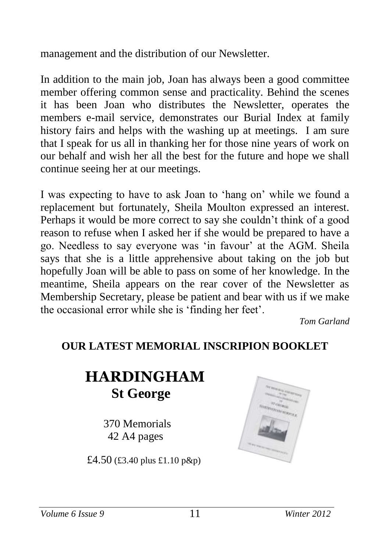management and the distribution of our Newsletter.

In addition to the main job, Joan has always been a good committee member offering common sense and practicality. Behind the scenes it has been Joan who distributes the Newsletter, operates the members e-mail service, demonstrates our Burial Index at family history fairs and helps with the washing up at meetings. I am sure that I speak for us all in thanking her for those nine years of work on our behalf and wish her all the best for the future and hope we shall continue seeing her at our meetings.

I was expecting to have to ask Joan to 'hang on' while we found a replacement but fortunately, Sheila Moulton expressed an interest. Perhaps it would be more correct to say she couldn't think of a good reason to refuse when I asked her if she would be prepared to have a go. Needless to say everyone was 'in favour' at the AGM. Sheila says that she is a little apprehensive about taking on the job but hopefully Joan will be able to pass on some of her knowledge. In the meantime, Sheila appears on the rear cover of the Newsletter as Membership Secretary, please be patient and bear with us if we make the occasional error while she is 'finding her feet'.

*Tom Garland*

### **OUR LATEST MEMORIAL INSCRIPION BOOKLET**

# **HARDINGHAM St George**

370 Memorials 42 A4 pages

£4.50 (£3.40 plus £1.10 p&p)

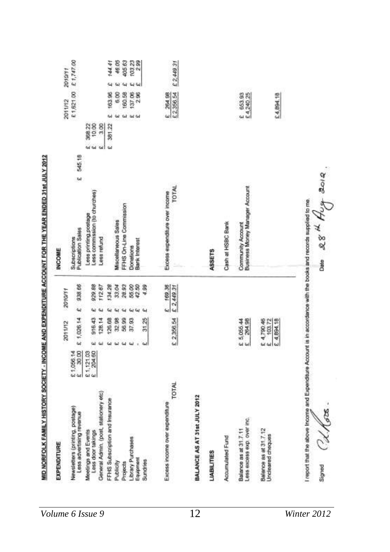| EXPENDITURE                                                                                                        |           |          |                                                |               |                        | <b>INCOME</b>                                         |                |        |                            |            |
|--------------------------------------------------------------------------------------------------------------------|-----------|----------|------------------------------------------------|---------------|------------------------|-------------------------------------------------------|----------------|--------|----------------------------|------------|
|                                                                                                                    |           |          | 2011/12                                        |               | 2010/11                |                                                       |                |        | 2011/12                    | 2010/11    |
| Newsletters (printing, postage)<br>Less advertising revenue                                                        | 21,056.14 |          | £ 1,026.14                                     | ίų            | 938.66                 | 545,18<br>W<br>Publication Sales<br>Subscriptions     |                |        | £1,621.00                  | £1,747.00  |
| Meetings and Events<br>Loss door takings                                                                           | 21,121.03 | ω        | 916.43                                         | W             | 929.88                 | Less commission (to churches)<br>Lees priming postage | <b>Gal</b> Gal | 388.22 |                            |            |
| General Admin, (post, stationery etc)                                                                              |           | w        | 128.14                                         | W             | 11267                  | Less refund                                           | <b>GHT</b>     | 300    |                            |            |
| FFHS Subscription and Insurance                                                                                    |           | اغا      | 126.68                                         | ننه           | 134.28                 |                                                       | <b>W</b>       | 381.22 | 163.96<br><b>Gal</b>       | 144.41     |
| Publicity                                                                                                          |           | ш        | 32.98                                          | 64            | 33.04                  | Miscellaneous Sales                                   |                |        | 6,00<br>ùа                 | 46.05      |
| Projects                                                                                                           |           | $\omega$ | 56.99                                          | $\mathbf{u}$  | 28.93                  | FFHS On-Line Commission                               |                |        | 160.58<br><b>Gd</b>        | 405.63     |
| Jorary Purchases<br>Equipment                                                                                      |           | 44       | 37,93                                          | $\omega$<br>Ŵ | 55.00                  | <b>Bark Interest</b><br>Donations                     |                |        | 2.96<br>137.06<br>GE GA    | 103.23     |
| Sundries                                                                                                           |           | ننا      | 31.25                                          | ч             | 4.99                   |                                                       |                |        |                            |            |
| TOTAL<br>Excess income over expenditure                                                                            |           |          | £ 2,366.54                                     |               | E 169.35<br>E 2,449.31 | <b>TOTAL</b><br>Excess expenditure over income        |                |        | E 264.98                   | £ 2,449.31 |
| BALANCE AS AT 31st JULY 2012                                                                                       |           |          |                                                |               |                        |                                                       |                |        |                            |            |
| <b>LIABILITIES</b>                                                                                                 |           |          |                                                |               |                        | ASSETS                                                |                |        |                            |            |
| Accumulated Fund                                                                                                   |           |          |                                                |               |                        | Cash at HSBC Bank                                     |                |        |                            |            |
| Less excess exp. over inc.<br>Balance as at 31.7.11                                                                |           |          | E 5,055.44                                     |               |                        | Community Account<br>Business Money Manager Account   |                |        | 653.93<br>£ 4,240.25<br>ć, |            |
| Balance as at 31.7.12<br>Uncleared cheques                                                                         |           |          | E 4,894.18<br>E 4,790.46<br>E 103.72<br>103.72 |               |                        |                                                       |                |        | £4,894.18                  |            |
| I report that the above income and Expenditure Account is in accordance with the books and records supplied to me. |           |          |                                                |               |                        |                                                       |                |        |                            |            |
| Udkoos<br>Signed                                                                                                   |           |          |                                                |               |                        | $28$ <sup>H</sup> Hug 2012.<br>Date                   |                |        |                            |            |
|                                                                                                                    |           |          |                                                |               |                        |                                                       |                |        |                            |            |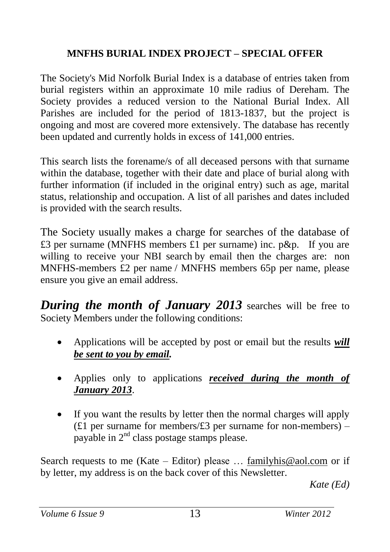#### **MNFHS BURIAL INDEX PROJECT – SPECIAL OFFER**

The Society's Mid Norfolk Burial Index is a database of entries taken from burial registers within an approximate 10 mile radius of Dereham. The Society provides a reduced version to the National Burial Index. All Parishes are included for the period of 1813-1837, but the project is ongoing and most are covered more extensively. The database has recently been updated and currently holds in excess of 141,000 entries.

This search lists the forename/s of all deceased persons with that surname within the database, together with their date and place of burial along with further information (if included in the original entry) such as age, marital status, relationship and occupation. A list of all parishes and dates included is provided with the search results.

The Society usually makes a charge for searches of the database of £3 per surname (MNFHS members £1 per surname) inc. p&p. If you are willing to receive your NBI search by email then the charges are: non MNFHS-members £2 per name / MNFHS members 65p per name, please ensure you give an email address.

*During the month of January 2013* searches will be free to Society Members under the following conditions:

- Applications will be accepted by post or email but the results *will be sent to you by email.*
- Applies only to applications *received during the month of January 2013*.
- If you want the results by letter then the normal charges will apply (£1 per surname for members/ $£3$  per surname for non-members) – payable in  $2<sup>nd</sup>$  class postage stamps please.

Search requests to me (Kate – Editor) please ... [familyhis@aol.com](mailto:familyhis@aol.com) or if by letter, my address is on the back cover of this Newsletter.

*Kate (Ed)*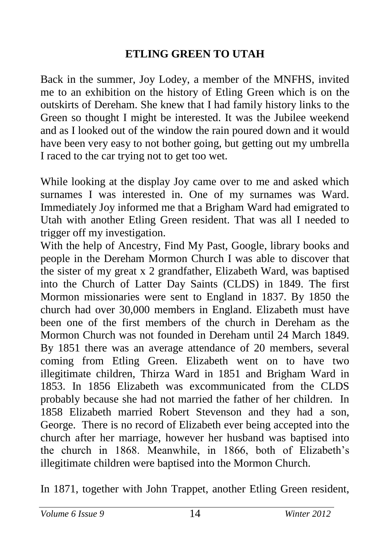# **ETLING GREEN TO UTAH**

Back in the summer, Joy Lodey, a member of the MNFHS, invited me to an exhibition on the history of Etling Green which is on the outskirts of Dereham. She knew that I had family history links to the Green so thought I might be interested. It was the Jubilee weekend and as I looked out of the window the rain poured down and it would have been very easy to not bother going, but getting out my umbrella I raced to the car trying not to get too wet.

While looking at the display Joy came over to me and asked which surnames I was interested in. One of my surnames was Ward. Immediately Joy informed me that a Brigham Ward had emigrated to Utah with another Etling Green resident. That was all I needed to trigger off my investigation.

With the help of Ancestry, Find My Past, Google, library books and people in the Dereham Mormon Church I was able to discover that the sister of my great x 2 grandfather, Elizabeth Ward, was baptised into the Church of Latter Day Saints (CLDS) in 1849. The first Mormon missionaries were sent to England in 1837. By 1850 the church had over 30,000 members in England. Elizabeth must have been one of the first members of the church in Dereham as the Mormon Church was not founded in Dereham until 24 March 1849. By 1851 there was an average attendance of 20 members, several coming from Etling Green. Elizabeth went on to have two illegitimate children, Thirza Ward in 1851 and Brigham Ward in 1853. In 1856 Elizabeth was excommunicated from the CLDS probably because she had not married the father of her children. In 1858 Elizabeth married Robert Stevenson and they had a son, George. There is no record of Elizabeth ever being accepted into the church after her marriage, however her husband was baptised into the church in 1868. Meanwhile, in 1866, both of Elizabeth's illegitimate children were baptised into the Mormon Church.

In 1871, together with John Trappet, another Etling Green resident,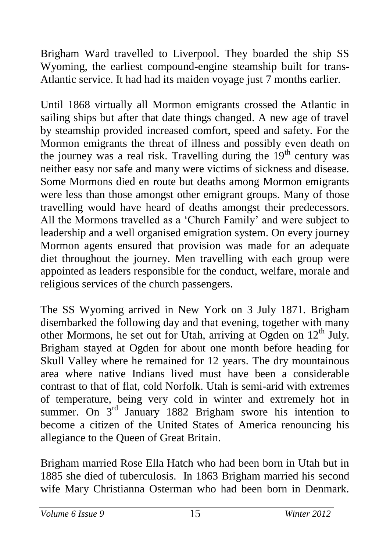Brigham Ward travelled to Liverpool. They boarded the ship SS Wyoming, the earliest compound-engine steamship built for trans-Atlantic service. It had had its maiden voyage just 7 months earlier.

Until 1868 virtually all Mormon emigrants crossed the Atlantic in sailing ships but after that date things changed. A new age of travel by steamship provided increased comfort, speed and safety. For the Mormon emigrants the threat of illness and possibly even death on the journey was a real risk. Travelling during the  $19<sup>th</sup>$  century was neither easy nor safe and many were victims of sickness and disease. Some Mormons died en route but deaths among Mormon emigrants were less than those amongst other emigrant groups. Many of those travelling would have heard of deaths amongst their predecessors. All the Mormons travelled as a 'Church Family' and were subject to leadership and a well organised emigration system. On every journey Mormon agents ensured that provision was made for an adequate diet throughout the journey. Men travelling with each group were appointed as leaders responsible for the conduct, welfare, morale and religious services of the church passengers.

The SS Wyoming arrived in New York on 3 July 1871. Brigham disembarked the following day and that evening, together with many other Mormons, he set out for Utah, arriving at Ogden on  $12<sup>th</sup>$  July. Brigham stayed at Ogden for about one month before heading for Skull Valley where he remained for 12 years. The dry mountainous area where native Indians lived must have been a considerable contrast to that of flat, cold Norfolk. Utah is semi-arid with extremes of temperature, being very cold in winter and extremely hot in summer. On  $3<sup>rd</sup>$  January 1882 Brigham swore his intention to become a citizen of the United States of America renouncing his allegiance to the Queen of Great Britain.

Brigham married Rose Ella Hatch who had been born in Utah but in 1885 she died of tuberculosis. In 1863 Brigham married his second wife Mary Christianna Osterman who had been born in Denmark.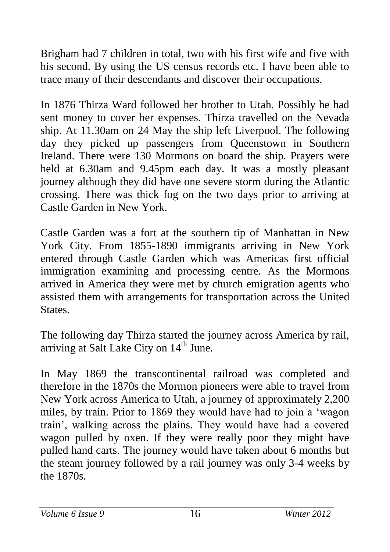Brigham had 7 children in total, two with his first wife and five with his second. By using the US census records etc. I have been able to trace many of their descendants and discover their occupations.

In 1876 Thirza Ward followed her brother to Utah. Possibly he had sent money to cover her expenses. Thirza travelled on the Nevada ship. At 11.30am on 24 May the ship left Liverpool. The following day they picked up passengers from Queenstown in Southern Ireland. There were 130 Mormons on board the ship. Prayers were held at 6.30am and 9.45pm each day. It was a mostly pleasant journey although they did have one severe storm during the Atlantic crossing. There was thick fog on the two days prior to arriving at Castle Garden in New York.

Castle Garden was a fort at the southern tip of Manhattan in New York City. From 1855-1890 immigrants arriving in New York entered through Castle Garden which was Americas first official immigration examining and processing centre. As the Mormons arrived in America they were met by church emigration agents who assisted them with arrangements for transportation across the United States.

The following day Thirza started the journey across America by rail, arriving at Salt Lake City on 14<sup>th</sup> June.

In May 1869 the transcontinental railroad was completed and therefore in the 1870s the Mormon pioneers were able to travel from New York across America to Utah, a journey of approximately 2,200 miles, by train. Prior to 1869 they would have had to join a 'wagon train', walking across the plains. They would have had a covered wagon pulled by oxen. If they were really poor they might have pulled hand carts. The journey would have taken about 6 months but the steam journey followed by a rail journey was only 3-4 weeks by the 1870s.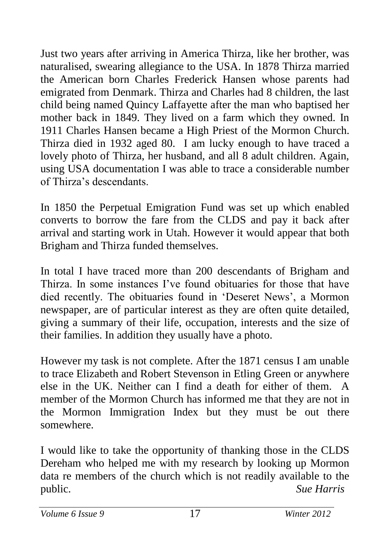Just two years after arriving in America Thirza, like her brother, was naturalised, swearing allegiance to the USA. In 1878 Thirza married the American born Charles Frederick Hansen whose parents had emigrated from Denmark. Thirza and Charles had 8 children, the last child being named Quincy Laffayette after the man who baptised her mother back in 1849. They lived on a farm which they owned. In 1911 Charles Hansen became a High Priest of the Mormon Church. Thirza died in 1932 aged 80. I am lucky enough to have traced a lovely photo of Thirza, her husband, and all 8 adult children. Again, using USA documentation I was able to trace a considerable number of Thirza's descendants.

In 1850 the Perpetual Emigration Fund was set up which enabled converts to borrow the fare from the CLDS and pay it back after arrival and starting work in Utah. However it would appear that both Brigham and Thirza funded themselves.

In total I have traced more than 200 descendants of Brigham and Thirza. In some instances I've found obituaries for those that have died recently. The obituaries found in 'Deseret News', a Mormon newspaper, are of particular interest as they are often quite detailed, giving a summary of their life, occupation, interests and the size of their families. In addition they usually have a photo.

However my task is not complete. After the 1871 census I am unable to trace Elizabeth and Robert Stevenson in Etling Green or anywhere else in the UK. Neither can I find a death for either of them. A member of the Mormon Church has informed me that they are not in the Mormon Immigration Index but they must be out there somewhere.

I would like to take the opportunity of thanking those in the CLDS Dereham who helped me with my research by looking up Mormon data re members of the church which is not readily available to the public. *Sue Harris*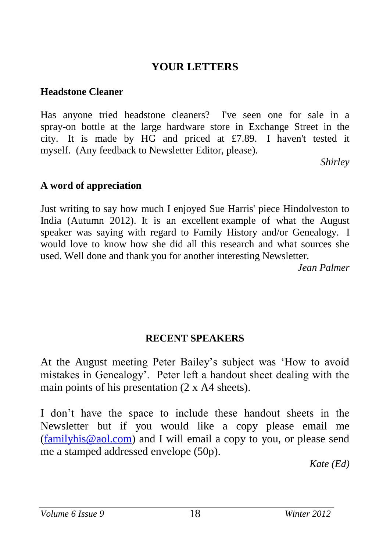## **YOUR LETTERS**

#### **Headstone Cleaner**

Has anyone tried headstone cleaners? I've seen one for sale in a spray-on bottle at the large hardware store in Exchange Street in the city. It is made by HG and priced at £7.89. I haven't tested it myself. (Any feedback to Newsletter Editor, please).

*Shirley* 

#### **A word of appreciation**

Just writing to say how much I enjoyed Sue Harris' piece Hindolveston to India (Autumn 2012). It is an excellent example of what the August speaker was saying with regard to Family History and/or Genealogy. I would love to know how she did all this research and what sources she used. Well done and thank you for another interesting Newsletter.

*Jean Palmer*

#### **RECENT SPEAKERS**

At the August meeting Peter Bailey's subject was 'How to avoid mistakes in Genealogy'. Peter left a handout sheet dealing with the main points of his presentation (2 x A4 sheets).

I don't have the space to include these handout sheets in the Newsletter but if you would like a copy please email me [\(familyhis@aol.com\)](mailto:familyhis@aol.com) and I will email a copy to you, or please send me a stamped addressed envelope (50p).

*Kate (Ed)*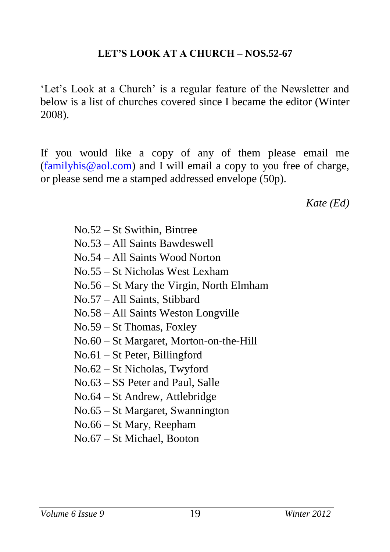#### **LET'S LOOK AT A CHURCH – NOS.52-67**

'Let's Look at a Church' is a regular feature of the Newsletter and below is a list of churches covered since I became the editor (Winter 2008).

If you would like a copy of any of them please email me [\(familyhis@aol.com\)](mailto:familyhis@aol.com) and I will email a copy to you free of charge, or please send me a stamped addressed envelope (50p).

*Kate (Ed)*

| $No.52 - St$ Swithin, Bintree            |
|------------------------------------------|
| No.53 – All Saints Bawdeswell            |
| No.54 – All Saints Wood Norton           |
| No.55 – St Nicholas West Lexham          |
| No.56 – St Mary the Virgin, North Elmham |
| No.57 – All Saints, Stibbard             |
| No.58 – All Saints Weston Longville      |
| $No.59 - St Thomas, Foxley$              |
| No.60 – St Margaret, Morton-on-the-Hill  |
| $No.61 - St Peter, Billingford$          |
| No.62 – St Nicholas, Twyford             |
| No.63 – SS Peter and Paul, Salle         |
| $No.64 - St$ Andrew, Attlebridge         |
| $No.65 - St Margaret, Swannington$       |
| No.66 – St Mary, Reepham                 |

No.67 – St Michael, Booton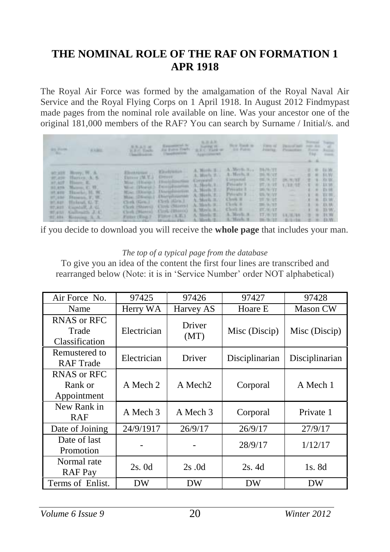#### **THE NOMINAL ROLE OF THE RAF ON FORMATION 1 APR 1918**

The Royal Air Force was formed by the amalgamation of the Royal Naval Air Service and the Royal Flying Corps on 1 April 1918. In August 2012 Findmypast made pages from the nominal role available on line. Was your ancestor one of the original 181,000 members of the RAF? You can search by Surname / Initial/s. and

| <b>GALLERY</b><br><b>CONTRACTOR</b> | <b>AAME</b>                                                                                                                                                                                                                                | 原気工ルは<br>. R.R.C. Toulou<br>1. In famous bill countries. | Representative Res.<br><b>Class Park Co.</b>                                                                                                                                                                                                                                                                                                                                                                                                                                                                                                                                                                                                                  | 気圧支援<br><b>Contract Division</b><br>An Euro Frett - a E.C. Fark or -<br>Appropriated. | New York is<br><b>CAR FURNI</b> | <b>PERMITES!</b> | Free of Denver and the Automobile<br>Phianoline . Frete Asing     | <b>Burneye Trains</b><br>734                              | 1 House, |
|-------------------------------------|--------------------------------------------------------------------------------------------------------------------------------------------------------------------------------------------------------------------------------------------|----------------------------------------------------------|---------------------------------------------------------------------------------------------------------------------------------------------------------------------------------------------------------------------------------------------------------------------------------------------------------------------------------------------------------------------------------------------------------------------------------------------------------------------------------------------------------------------------------------------------------------------------------------------------------------------------------------------------------------|---------------------------------------------------------------------------------------|---------------------------------|------------------|-------------------------------------------------------------------|-----------------------------------------------------------|----------|
|                                     | 90.328 Berry, W. A.<br>W.100 Bloven A.S.<br>at Alf House E.<br>SILANA Majaran, C. H.<br>ot are Thanks, H. W.).<br>of ane Henesia, F. W.<br>MCARS Haland, G. T.<br>RT.KEE - ENGAGE LEVEL<br>97,451 Xallmath J.C.<br>27, 484 Hobecard, S. A. |                                                          | Miss. (Done) Distribution Corporal Corporal to a cr<br>We (Boris) furnishment A. Berle L. Pressle L. 27, 8:22<br>Miss (Doesn) Damphorton A. Mech. J. . Preside I  20.9.77<br>. Hoe (Disson) Disciplination A. Herb. 2. . Pressin 1  25.9:57<br>Clerk (Gra.) (Seek (Gra.) A. Meeth R., Clerk R.<br>Clerk (Sony) Clerk (Stores) A. Modell Clerk 8 36 8/17<br>Client (Pierce) (Client (Pierce)<br>Fifter (Fing.2) Fifter (A.E.)<br>the company of the company of the company of the company of the company of the company of the company of the company of the company of the company of the company of the company of the company of the company of the company | A. Maria R. Cholt R. ST. WILL<br>A. Meek E.L. A. Merk A. 17/8/17                      |                                 | 2012/01/18       | <b>DURINE - 2 8 FEW</b><br>1723 年生<br><b>EXCHANGE OF BUILDING</b> | $5.7 - 49 - 13.58$<br>$A = B$ . $D_2W$ .<br>$1.1.01$ TO M |          |

if you decide to download you will receive the **whole page** that includes your man.

#### *The top of a typical page from the database*

To give you an idea of the content the first four lines are transcribed and rearranged below (Note: it is in 'Service Number' order NOT alphabetical)

| Air Force No.                          | 97425       | 97426               | 97427          | 97428           |
|----------------------------------------|-------------|---------------------|----------------|-----------------|
| Name                                   | Herry WA    | Harvey AS           | Hoare E        | <b>Mason CW</b> |
| RNAS or RFC<br>Trade<br>Classification | Electrician | Driver<br>(MT)      | Misc (Discip)  | Misc (Discip)   |
| Remustered to<br><b>RAF</b> Trade      | Electrician | Driver              | Disciplinarian | Disciplinarian  |
| RNAS or RFC<br>Rank or<br>Appointment  | A Mech 2    | A Mech <sub>2</sub> | Corporal       | A Mech 1        |
| New Rank in<br><b>RAF</b>              | A Mech 3    | A Mech 3            | Corporal       | Private 1       |
| Date of Joining                        | 24/9/1917   | 26/9/17             | 26/9/17        | 27/9/17         |
| Date of last<br>Promotion              |             |                     | 28/9/17        | 1/12/17         |
| Normal rate<br><b>RAF</b> Pay          | 2s.0d       | 2s.0d               | 2s. 4d         | 1s. 8d          |
| Terms of Enlist.                       | DW          | DW                  | DW             | DW              |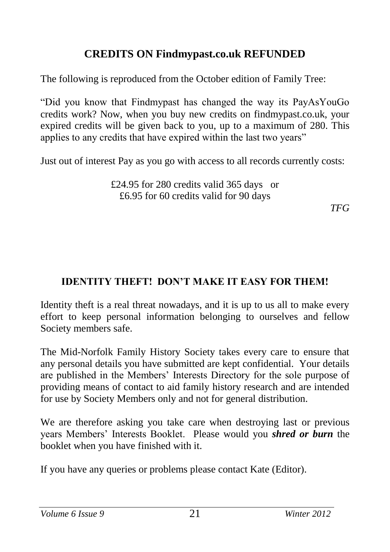## **CREDITS ON Findmypast.co.uk REFUNDED**

The following is reproduced from the October edition of Family Tree:

"Did you know that Findmypast has changed the way its PayAsYouGo credits work? Now, when you buy new credits on findmypast.co.uk, your expired credits will be given back to you, up to a maximum of 280. This applies to any credits that have expired within the last two years"

Just out of interest Pay as you go with access to all records currently costs:

£24.95 for 280 credits valid 365 days or £6.95 for 60 credits valid for 90 days

*TFG*

### **IDENTITY THEFT! DON'T MAKE IT EASY FOR THEM!**

Identity theft is a real threat nowadays, and it is up to us all to make every effort to keep personal information belonging to ourselves and fellow Society members safe.

The Mid-Norfolk Family History Society takes every care to ensure that any personal details you have submitted are kept confidential. Your details are published in the Members' Interests Directory for the sole purpose of providing means of contact to aid family history research and are intended for use by Society Members only and not for general distribution.

We are therefore asking you take care when destroying last or previous years Members' Interests Booklet. Please would you *shred or burn* the booklet when you have finished with it.

If you have any queries or problems please contact Kate (Editor).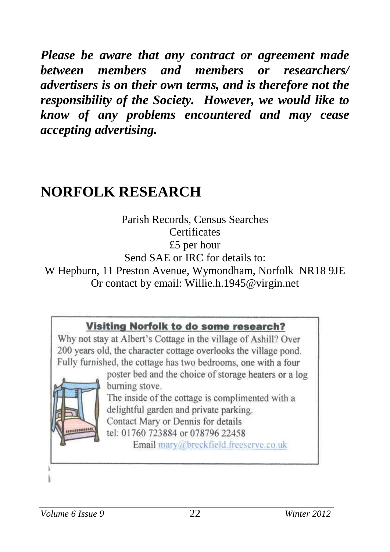*Please be aware that any contract or agreement made between members and members or researchers/ advertisers is on their own terms, and is therefore not the responsibility of the Society. However, we would like to know of any problems encountered and may cease accepting advertising.*

# **NORFOLK RESEARCH**

Parish Records, Census Searches **Certificates** £5 per hour Send SAE or IRC for details to: W Hepburn, 11 Preston Avenue, Wymondham, Norfolk NR18 9JE Or contact by email: Willie.h.1945@virgin.net

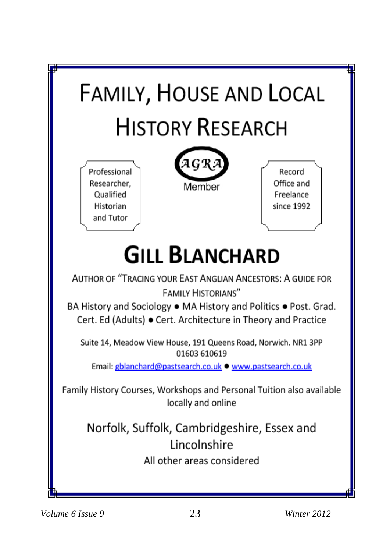